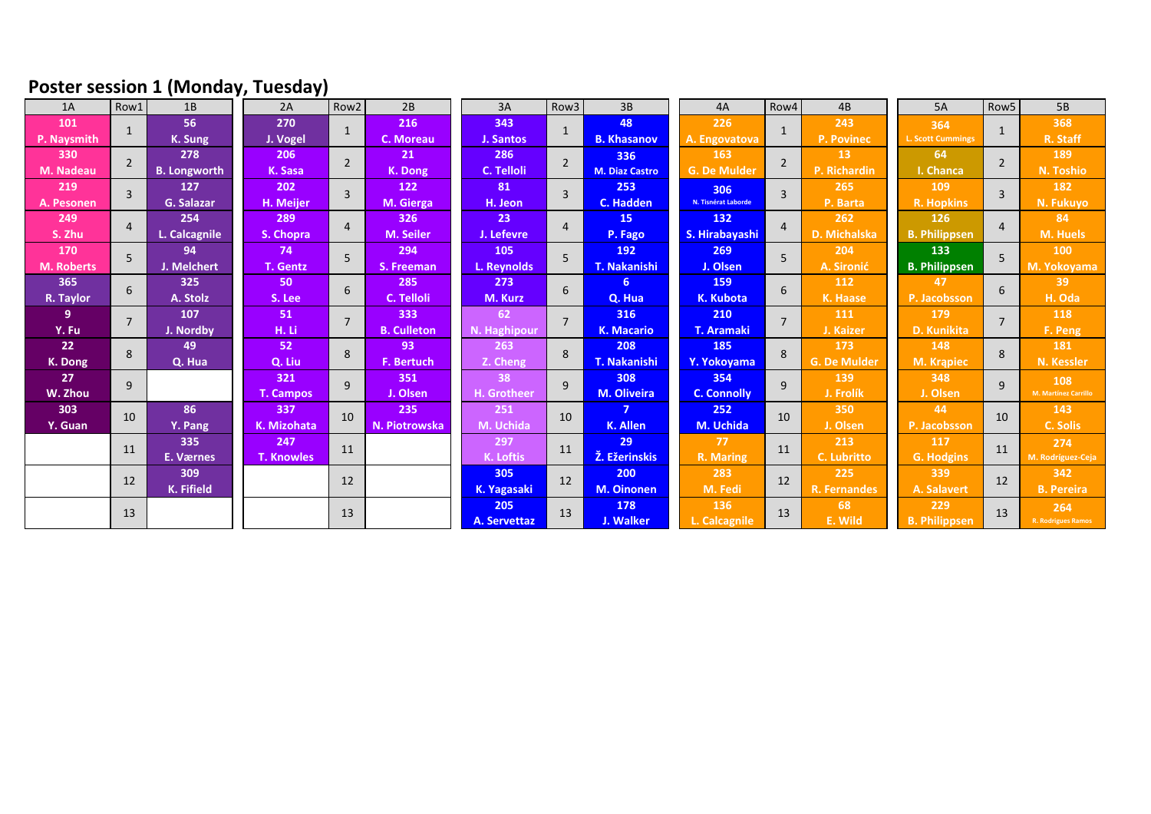## **Poster session 1 (Monday, Tuesday)**

| 1A                | Row1           | 1B                  | 2A                  | Row <sub>2</sub> | 2B                 | 3A               | Row <sub>3</sub> | 3B                    | 4A                  | Row4           | 4B                  | <b>5A</b>                | Row <sub>5</sub> | 5B                   |
|-------------------|----------------|---------------------|---------------------|------------------|--------------------|------------------|------------------|-----------------------|---------------------|----------------|---------------------|--------------------------|------------------|----------------------|
| 101               | $\mathbf{1}$   | 56                  | 270<br>$\mathbf{1}$ | 216              | 343                | $\mathbf{1}$     | 48               | 226                   |                     | 243            | 364                 | $\mathbf{1}$             | 368              |                      |
| P. Naysmith       |                | K. Sung             | J. Vogel            |                  | C. Moreau          | J. Santos        |                  | <b>B. Khasanov</b>    | A. Engovatova       |                | P. Povinec          | <b>L. Scott Cummings</b> |                  | R. Staff             |
| 330               | $\overline{2}$ | 278                 | 206                 | $\overline{2}$   | 21                 | 286              | $\overline{2}$   | 336                   | 163                 | $\overline{2}$ | 13                  | 64                       | $\overline{2}$   | 189                  |
| M. Nadeau         |                | <b>B.</b> Longworth | K. Sasa             |                  | K. Dong            | C. Telloli       |                  | <b>M. Diaz Castro</b> | <b>G. De Mulder</b> |                | P. Richardin        | I. Chanca                |                  | N. Toshio            |
| 219               | $\overline{3}$ | 127                 | 202                 | $\overline{3}$   | 122                | 81               | $\overline{3}$   | 253                   | 306                 | $\overline{3}$ | 265                 | 109                      | $\overline{3}$   | 182                  |
| A. Pesonen        |                | <b>G. Salazar</b>   | H. Meijer           |                  | M. Gierga          | H. Jeon          |                  | C. Hadden             | N. Tisnérat Laborde |                | P. Barta            | <b>R. Hopkins</b>        |                  | N. Fukuyo            |
| 249               | $\overline{4}$ | 254                 | 289                 | $\overline{4}$   | 326                | 23 <sup>°</sup>  | $\overline{4}$   | 15 <sub>1</sub>       | 132                 | $\overline{4}$ | 262                 | 126                      | $\overline{4}$   | 84                   |
| S. Zhu            |                | L. Calcagnile       | S. Chopra           |                  | <b>M. Seiler</b>   | J. Lefevre       |                  | P. Fago               | S. Hirabayashi      |                | D. Michalska        | <b>B. Philippsen</b>     |                  | M. Huels             |
| 170               | $\overline{5}$ | 94                  | 74                  | 5                | 294                | 105              | 5                | 192                   | 269                 | 5 <sup>1</sup> | 204                 | 133                      | $\overline{5}$   | 100                  |
| <b>M. Roberts</b> |                | J. Melchert         | T. Gentz            |                  | S. Freeman         | L. Reynolds      |                  | <b>T. Nakanishi</b>   | J. Olsen            |                | A. Sironić          | <b>B. Philippsen</b>     |                  | M. Yokoyama          |
| 365               | 6              | 325                 | 50                  | 6                | 285                | 273              | 6                | 6.                    | 159                 | 6              | 112                 | 47                       | 6                | 39                   |
| R. Taylor         |                | A. Stolz            | S. Lee              |                  | C. Telloli         | M. Kurz          |                  | Q. Hua                | <b>K. Kubota</b>    |                | K. Haase            | P. Jacobsson             |                  | H. Oda               |
| 9.                | $\overline{7}$ | 107                 | 51                  | $\overline{7}$   | 333                | 62               | $\overline{7}$   | 316                   | 210                 | $\overline{7}$ | 111                 | 179                      | $\overline{7}$   | 118                  |
| Y. Fu             |                | J. Nordby           | H. Li               |                  | <b>B. Culleton</b> | N. Haghipour     |                  | <b>K. Macario</b>     | <b>T. Aramaki</b>   |                | J. Kaizer           | <b>D. Kunikita</b>       |                  | F. Peng              |
| 22                | 8              | 49                  | 52                  | 8                | 93                 | 263              | 8                | 208                   | 185                 | 8              | 173                 | 148                      | $\mathbf{8}$     | 181                  |
| K. Dong           |                | Q. Hua              | Q. Liu              |                  | F. Bertuch         | Z. Cheng         |                  | T. Nakanishi          | Y. Yokoyama         |                | <b>G. De Mulder</b> | M. Krąpiec               |                  | N. Kessler           |
| 27                | 9              |                     | 321                 | 9                | 351                | 38               | $\mathsf{q}$     | 308                   | 354                 | 9              | 139                 | 348                      | $\mathbf{q}$     | 108                  |
| W. Zhou           |                |                     | <b>T. Campos</b>    |                  | J. Olsen           | H. Grotheer      |                  | <b>M. Oliveira</b>    | <b>C. Connolly</b>  |                | J. Frolík           | J. Olsen                 |                  | M. Martínez Carrillo |
| 303               | 10             | 86                  | 337                 | 10               | 235                | 251              | 10               | 7                     | 252                 | 10             | 350                 | 44                       | 10               | 143                  |
| Y. Guan           |                | Y. Pang             | K. Mizohata         |                  | N. Piotrowska      | M. Uchida        |                  | K. Allen              | M. Uchida           |                | J. Olsen            | P. Jacobsson             |                  | C. Solis             |
|                   | 11             | 335                 | 247                 | 11               |                    | 297              | 11               | 29                    | 77                  | 11             | 213                 | 117                      | 11               | 274                  |
|                   |                | E. Værnes           | <b>T. Knowles</b>   |                  |                    | <b>K. Loftis</b> |                  | Ž. Ežerinskis         | R. Maring           |                | <b>C. Lubritto</b>  | <b>G. Hodgins</b>        |                  | M. Rodríguez-Ceja    |
|                   | 12             | 309                 | 12                  |                  |                    | 305              | 12               | 200                   | 283                 | 12             | 225                 | 339                      | 12               | 342                  |
|                   |                | K. Fifield          |                     |                  |                    | K. Yagasaki      |                  | <b>M. Oinonen</b>     | M. Fedi             |                | R. Fernandes        | A. Salavert              |                  | <b>B. Pereira</b>    |
|                   | 13             |                     |                     | 13               |                    | 205              | 13               | 178                   | 136                 | 13             | 68                  | 229                      | 13               | 264                  |
|                   |                |                     |                     |                  |                    | A. Servettaz     |                  | J. Walker             | L. Calcagnile       |                | E. Wild             | <b>B. Philippsen</b>     |                  | R. Rodrigues Ramos   |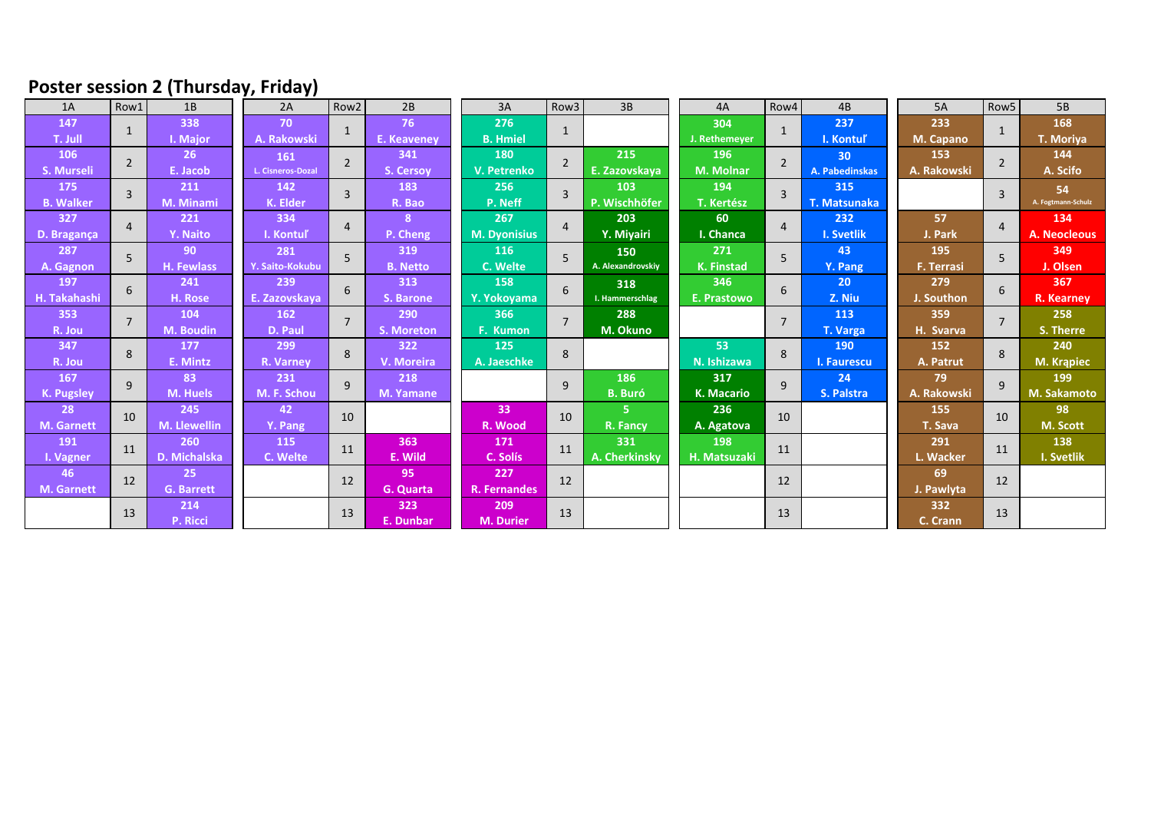## **Poster session 2 (Thursday, Friday)**

| 1A                      | Row1           | 1B                  | 2A                | Row <sub>2</sub> | 2B               | 3A                  | Row3                      | 3B                | 4A                | Row4           | 4B                  | 5A                | Row5           | 5B                 |
|-------------------------|----------------|---------------------|-------------------|------------------|------------------|---------------------|---------------------------|-------------------|-------------------|----------------|---------------------|-------------------|----------------|--------------------|
| 147                     | $\mathbf{1}$   | 338                 | 70                | 1                | 76               | 276                 | $\mathbf{1}$              |                   | 304               | $\mathbf{1}$   | 237                 | 233               | 1              | 168                |
| T. Jull                 |                | I. Major            | A. Rakowski       |                  | E. Keaveney      | <b>B.</b> Hmiel     |                           |                   | J. Rethemeyer     |                | I. Kontuľ           | M. Capano         |                | T. Moriya          |
| 106                     | $\overline{2}$ | 26                  | 161               | $\overline{2}$   | 341              | 180                 | $\overline{2}$            | 215               | 196               | $\overline{2}$ | 30 <sup>°</sup>     | 153               | $\overline{2}$ | 144                |
| S. Murseli              |                | E. Jacob            | L. Cisneros-Dozal |                  | <b>S. Cersov</b> | V. Petrenko         |                           | E. Zazovskaya     | <b>M. Molnar</b>  |                | A. Pabedinskas      | A. Rakowski       |                | A. Scifo           |
| 175                     | $\overline{3}$ | 211                 | 142               | $\overline{3}$   | 183              | 256                 | 103<br>3<br>P. Wischhöfer | 194               | $\overline{3}$    | 315            |                     | $\overline{3}$    | 54             |                    |
| <b>B. Walker</b>        |                | M. Minami           | K. Elder          |                  | R. Bao           | P. Neff             |                           |                   | <b>T. Kertész</b> |                | <b>T. Matsunaka</b> |                   |                | A. Fogtmann-Schulz |
| 327                     | $\overline{4}$ | 221                 | 334               | $\overline{4}$   | 8                | 267                 | $\overline{4}$            | 203               | 60                | $\overline{4}$ | 232                 | 57                | $\overline{4}$ | 134                |
| D. Bragança             |                | Y. Naito            | I. Kontuľ         |                  | P. Cheng         | <b>M. Dyonisius</b> |                           | Y. Miyairi        | I. Chanca         |                | <b>I. Svetlik</b>   | J. Park           |                | A. Neocleous       |
| 287                     | 5              | 90                  | 281               | 5                | 319              | 116                 | 5                         | 150               | 271               | 5              | 43                  | 195               | 5              | 349                |
| A. Gagnon               |                | <b>H. Fewlass</b>   | Y. Saito-Kokubu   |                  | <b>B.</b> Netto  | C. Welte            |                           | A. Alexandrovskiy | <b>K.</b> Finstad |                | Y. Pang             | <b>F. Terrasi</b> |                | J. Olsen           |
| 197                     | 6              | 241                 | 239               | 6                | 313              | 158                 | 6                         | 318               | 346               | 6              | 20 <sub>2</sub>     | 279               | 6              | 367                |
| H. Takahashi            |                | H. Rose             | E. Zazovskava     |                  | S. Barone        | Y. Yokovama         |                           | I. Hammerschlag   | E. Prastowo       |                | Z. Niu              | J. Southon        |                | <b>R.</b> Kearney  |
| 353                     | $\overline{7}$ | 104                 | 162               | $\overline{7}$   | 290              | 366                 | $\overline{7}$            | 288               |                   | $\overline{7}$ | 113                 | 359               | $\overline{7}$ | 258                |
| R. Jou                  |                | <b>M. Boudin</b>    | D. Paul           |                  | S. Moreton       | F. Kumon            |                           | M. Okuno          |                   |                | T. Varga            | H. Svarva         |                | S. Therre          |
| 347                     | 8              | 177                 | 299               | 8                | 322              | 125                 | 8                         |                   | 53                | 8              | 190                 | 152               | 8              | 240                |
| R. Jou                  |                | E. Mintz            | R. Varney         |                  | V. Moreira       | A. Jaeschke         |                           |                   | N. Ishizawa       |                | I. Faurescu         | A. Patrut         |                | M. Krąpiec         |
| 167                     | 9              | 83                  | 231               | 9                | 218              |                     | 9                         | 186               | 317               | 9              | 24                  | 79                | 9              | 199                |
| K. Pugsley              |                | M. Huels            | M. F. Schou       |                  | <b>M. Yamane</b> |                     |                           | <b>B.</b> Buró    | <b>K. Macario</b> |                | S. Palstra          | A. Rakowski       |                | M. Sakamoto        |
| 28                      | 10             | 245                 | 42                | 10               |                  | 33                  | 10                        | 5.                | 236               | 10             |                     | 155               | 10             | 98                 |
| <b>M.</b> Garnett       |                | <b>M. Llewellin</b> | Y. Pang           |                  |                  | R. Wood             |                           | R. Fancy          | A. Agatova        |                |                     | T. Sava           |                | M. Scott           |
| 191<br>I. Vagner        | 11             | 260                 | 115               | 11               | 363              | 171                 | 11                        | 331               | 198               | 11             |                     | 291               | 11             | 138                |
|                         |                | D. Michalska        | C. Welte          |                  | E. Wild          | C. Solís            |                           | A. Cherkinsky     | H. Matsuzaki      |                |                     | L. Wacker         |                | I. Svetlik         |
| 46<br><b>M. Garnett</b> | 12             | 25                  |                   | 12               | 95               | 227                 | 12                        |                   |                   | 12             |                     | 69                | 12             |                    |
|                         |                | <b>G. Barrett</b>   |                   |                  | <b>G.</b> Quarta | R. Fernandes        |                           |                   |                   |                |                     | J. Pawlyta        |                |                    |
|                         | 13             | 214                 |                   | 13               | 323              | 209                 | 13                        |                   |                   | 13             |                     | 332               | 13             |                    |
|                         |                | P. Ricci            |                   |                  | E. Dunbar        | <b>M. Durier</b>    |                           |                   |                   |                |                     | C. Crann          |                |                    |